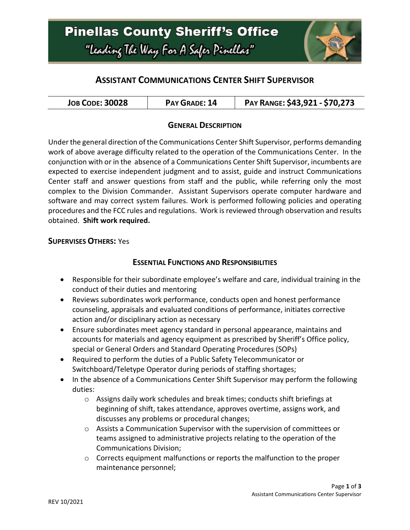

# **ASSISTANT COMMUNICATIONS CENTER SHIFT SUPERVISOR**

| <b>JOB CODE: 30028</b> | PAY GRADE: 14 | PAY RANGE: \$43,921 - \$70,273 |
|------------------------|---------------|--------------------------------|
|------------------------|---------------|--------------------------------|

#### **GENERAL DESCRIPTION**

Under the general direction of the Communications Center Shift Supervisor, performs demanding work of above average difficulty related to the operation of the Communications Center. In the conjunction with or in the absence of a Communications Center Shift Supervisor, incumbents are expected to exercise independent judgment and to assist, guide and instruct Communications Center staff and answer questions from staff and the public, while referring only the most complex to the Division Commander. Assistant Supervisors operate computer hardware and software and may correct system failures. Work is performed following policies and operating procedures and the FCC rules and regulations. Work is reviewed through observation and results obtained. **Shift work required.**

#### **SUPERVISES OTHERS:** Yes

#### **ESSENTIAL FUNCTIONS AND RESPONSIBILITIES**

- Responsible for their subordinate employee's welfare and care, individual training in the conduct of their duties and mentoring
- Reviews subordinates work performance, conducts open and honest performance counseling, appraisals and evaluated conditions of performance, initiates corrective action and/or disciplinary action as necessary
- Ensure subordinates meet agency standard in personal appearance, maintains and accounts for materials and agency equipment as prescribed by Sheriff's Office policy, special or General Orders and Standard Operating Procedures (SOPs)
- Required to perform the duties of a Public Safety Telecommunicator or Switchboard/Teletype Operator during periods of staffing shortages;
- In the absence of a Communications Center Shift Supervisor may perform the following duties:
	- o Assigns daily work schedules and break times; conducts shift briefings at beginning of shift, takes attendance, approves overtime, assigns work, and discusses any problems or procedural changes;
	- $\circ$  Assists a Communication Supervisor with the supervision of committees or teams assigned to administrative projects relating to the operation of the Communications Division;
	- $\circ$  Corrects equipment malfunctions or reports the malfunction to the proper maintenance personnel;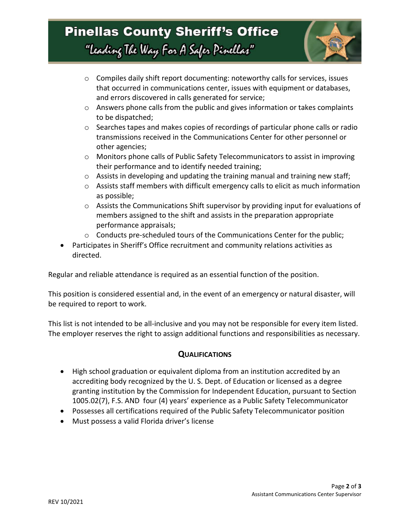

- $\circ$  Compiles daily shift report documenting: noteworthy calls for services, issues that occurred in communications center, issues with equipment or databases, and errors discovered in calls generated for service;
- $\circ$  Answers phone calls from the public and gives information or takes complaints to be dispatched;
- $\circ$  Searches tapes and makes copies of recordings of particular phone calls or radio transmissions received in the Communications Center for other personnel or other agencies;
- $\circ$  Monitors phone calls of Public Safety Telecommunicators to assist in improving their performance and to identify needed training;
- o Assists in developing and updating the training manual and training new staff;
- o Assists staff members with difficult emergency calls to elicit as much information as possible;
- o Assists the Communications Shift supervisor by providing input for evaluations of members assigned to the shift and assists in the preparation appropriate performance appraisals;
- $\circ$  Conducts pre-scheduled tours of the Communications Center for the public;
- Participates in Sheriff's Office recruitment and community relations activities as directed.

Regular and reliable attendance is required as an essential function of the position.

This position is considered essential and, in the event of an emergency or natural disaster, will be required to report to work.

This list is not intended to be all-inclusive and you may not be responsible for every item listed. The employer reserves the right to assign additional functions and responsibilities as necessary.

#### **QUALIFICATIONS**

- High school graduation or equivalent diploma from an institution accredited by an accrediting body recognized by the U. S. Dept. of Education or licensed as a degree granting institution by the Commission for Independent Education, pursuant to Section 1005.02(7), F.S. AND four (4) years' experience as a Public Safety Telecommunicator
- Possesses all certifications required of the Public Safety Telecommunicator position
- Must possess a valid Florida driver's license